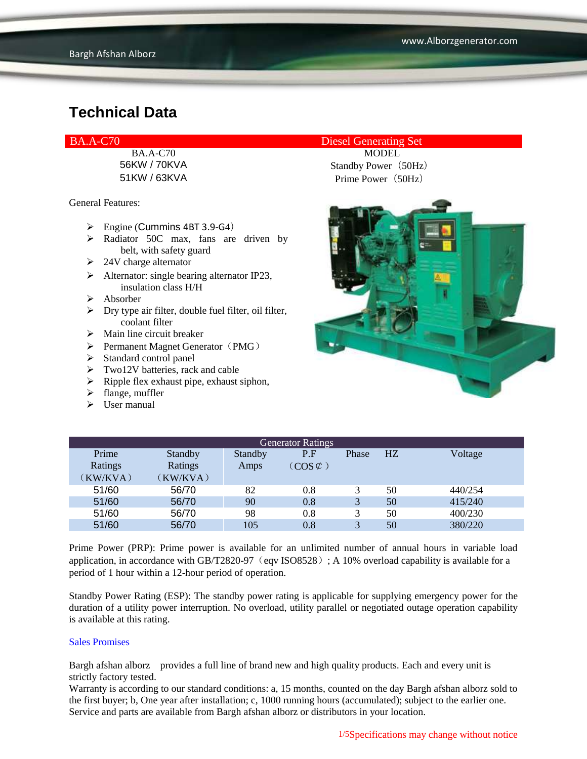General Features:

- $\triangleright$  Engine (Cummins 4BT 3.9-G4)
- $\triangleright$  Radiator 50C max, fans are driven by belt, with safety guard
- $\geq$  24V charge alternator
- $\triangleright$  Alternator: single bearing alternator IP23, insulation class H/H
- Absorber
- $\triangleright$  Dry type air filter, double fuel filter, oil filter, coolant filter
- $\triangleright$  Main line circuit breaker
- $\triangleright$  Permanent Magnet Generator (PMG)
- $\triangleright$  Standard control panel
- $\triangleright$  Two12V batteries, rack and cable
- $\triangleright$  Ripple flex exhaust pipe, exhaust siphon,
- $\blacktriangleright$  flange, muffler
- $\triangleright$  User manual

#### BA.A-C70 Diesel Generating Set

BA.A-C70 MODEL 56KW / 70KVA Standby Power (50Hz) 51KW / 63KVA Prime Power (50Hz)



| <b>Generator Ratings</b> |          |         |                     |       |                |         |
|--------------------------|----------|---------|---------------------|-------|----------------|---------|
| Prime                    | Standby  | Standby | P.F                 | Phase | H <sub>Z</sub> | Voltage |
| Ratings                  | Ratings  | Amps    | $(COS \mathcal{C})$ |       |                |         |
| (KW/KVA)                 | (KW/KVA) |         |                     |       |                |         |
| 51/60                    | 56/70    | 82      | 0.8                 |       | 50             | 440/254 |
| 51/60                    | 56/70    | 90      | 0.8                 | 3     | 50             | 415/240 |
| 51/60                    | 56/70    | 98      | 0.8                 | 3     | 50             | 400/230 |
| 51/60                    | 56/70    | 105     | 0.8                 | 2     | 50             | 380/220 |

Prime Power (PRP): Prime power is available for an unlimited number of annual hours in variable load application, in accordance with GB/T2820-97 (eqv ISO8528); A 10% overload capability is available for a period of 1 hour within a 12-hour period of operation.

Standby Power Rating (ESP): The standby power rating is applicable for supplying emergency power for the duration of a utility power interruption. No overload, utility parallel or negotiated outage operation capability is available at this rating.

#### Sales Promises

Bargh afshan alborz provides a full line of brand new and high quality products. Each and every unit is strictly factory tested.

Warranty is according to our standard conditions: a, 15 months, counted on the day Bargh afshan alborz sold to the first buyer; b, One year after installation; c, 1000 running hours (accumulated); subject to the earlier one. Service and parts are available from Bargh afshan alborz or distributors in your location.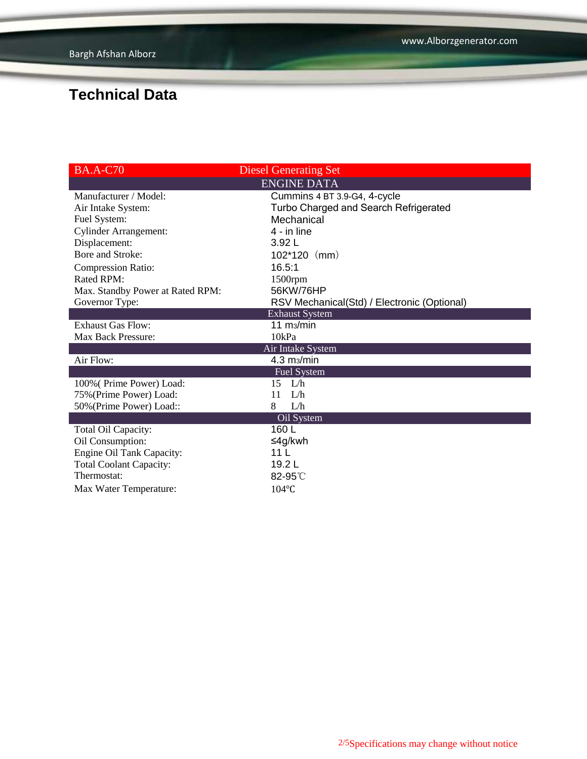| <b>BA.A-C70</b>                  | <b>Diesel Generating Set</b>                |
|----------------------------------|---------------------------------------------|
|                                  | <b>ENGINE DATA</b>                          |
| Manufacturer / Model:            | Cummins 4 BT 3.9-G4, 4-cycle                |
| Air Intake System:               | Turbo Charged and Search Refrigerated       |
| Fuel System:                     | Mechanical                                  |
| <b>Cylinder Arrangement:</b>     | 4 - in line                                 |
| Displacement:                    | 3.92L                                       |
| Bore and Stroke:                 | $102*120$ (mm)                              |
| <b>Compression Ratio:</b>        | 16.5:1                                      |
| Rated RPM:                       | 1500rpm                                     |
| Max. Standby Power at Rated RPM: | 56KW/76HP                                   |
| Governor Type:                   | RSV Mechanical(Std) / Electronic (Optional) |
|                                  | <b>Exhaust System</b>                       |
| <b>Exhaust Gas Flow:</b>         | 11 $\,$ m <sub>3</sub> $\,$ min             |
| Max Back Pressure:               | 10kPa                                       |
|                                  | Air Intake System                           |
| Air Flow:                        | $4.3 \text{ m}$                             |
|                                  | <b>Fuel System</b>                          |
| 100% (Prime Power) Load:         | $15$ L/h                                    |
| 75% (Prime Power) Load:          | 11<br>L/h                                   |
| 50% (Prime Power) Load::         | 8<br>L/h                                    |
|                                  | Oil System                                  |
| Total Oil Capacity:              | 160 L                                       |
| Oil Consumption:                 | ≤4g/kwh                                     |
| Engine Oil Tank Capacity:        | 11 L                                        |
| <b>Total Coolant Capacity:</b>   | 19.2L                                       |
| Thermostat:                      | 82-95°C                                     |
| Max Water Temperature:           | $104$ °C                                    |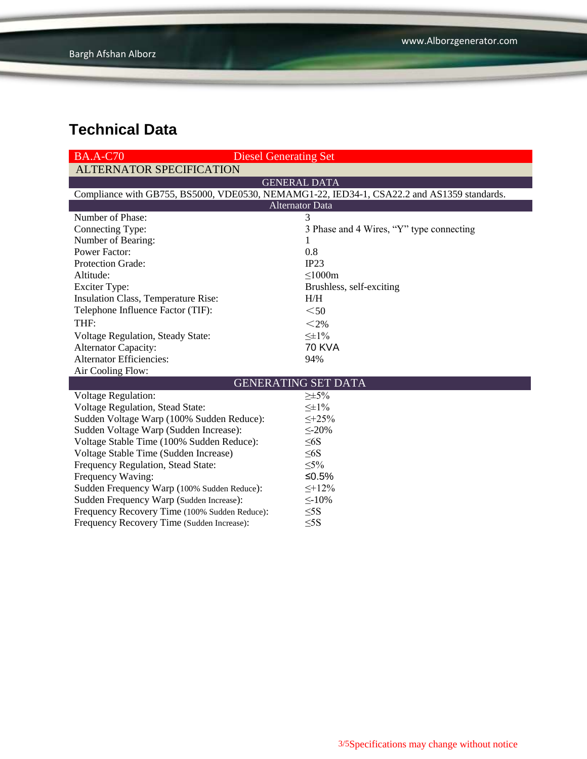| <b>BA.A-C70</b><br><b>Diesel Generating Set</b>                                            |                                          |  |  |  |  |
|--------------------------------------------------------------------------------------------|------------------------------------------|--|--|--|--|
| <b>ALTERNATOR SPECIFICATION</b>                                                            |                                          |  |  |  |  |
| <b>GENERAL DATA</b>                                                                        |                                          |  |  |  |  |
| Compliance with GB755, BS5000, VDE0530, NEMAMG1-22, IED34-1, CSA22.2 and AS1359 standards. |                                          |  |  |  |  |
| <b>Alternator Data</b>                                                                     |                                          |  |  |  |  |
| Number of Phase:                                                                           | 3                                        |  |  |  |  |
| Connecting Type:                                                                           | 3 Phase and 4 Wires, "Y" type connecting |  |  |  |  |
| Number of Bearing:                                                                         | 1                                        |  |  |  |  |
| <b>Power Factor:</b>                                                                       | 0.8                                      |  |  |  |  |
| Protection Grade:                                                                          | IP23                                     |  |  |  |  |
| Altitude:                                                                                  | $\leq 1000m$                             |  |  |  |  |
| <b>Exciter Type:</b>                                                                       | Brushless, self-exciting                 |  |  |  |  |
| Insulation Class, Temperature Rise:                                                        | H/H                                      |  |  |  |  |
| Telephone Influence Factor (TIF):                                                          | $50$                                     |  |  |  |  |
| THF:                                                                                       | $<$ 2%                                   |  |  |  |  |
| Voltage Regulation, Steady State:                                                          | $\leq \pm 1\%$                           |  |  |  |  |
| <b>Alternator Capacity:</b>                                                                | <b>70 KVA</b>                            |  |  |  |  |
| <b>Alternator Efficiencies:</b>                                                            | 94%                                      |  |  |  |  |
| Air Cooling Flow:                                                                          |                                          |  |  |  |  |
| <b>GENERATING SET DATA</b>                                                                 |                                          |  |  |  |  |
| <b>Voltage Regulation:</b>                                                                 | $\geq \pm 5\%$                           |  |  |  |  |
| Voltage Regulation, Stead State:                                                           | $\leq \pm 1\%$                           |  |  |  |  |
| Sudden Voltage Warp (100% Sudden Reduce):                                                  | $\leq +25\%$                             |  |  |  |  |
| Sudden Voltage Warp (Sudden Increase):                                                     | $\leq$ -20%                              |  |  |  |  |
| Voltage Stable Time (100% Sudden Reduce):                                                  | $\leq 6S$                                |  |  |  |  |
| Voltage Stable Time (Sudden Increase)                                                      | $\leq 6S$                                |  |  |  |  |
| Frequency Regulation, Stead State:                                                         | $\leq 5\%$                               |  |  |  |  |
| Frequency Waving:                                                                          | ≤ $0.5%$                                 |  |  |  |  |
| Sudden Frequency Warp (100% Sudden Reduce):                                                | $\leq +12\%$                             |  |  |  |  |
| Sudden Frequency Warp (Sudden Increase):                                                   | $\leq$ -10%                              |  |  |  |  |
| Frequency Recovery Time (100% Sudden Reduce):                                              | $\leq$ 5S                                |  |  |  |  |
| Frequency Recovery Time (Sudden Increase):                                                 | $\leq$ 5S                                |  |  |  |  |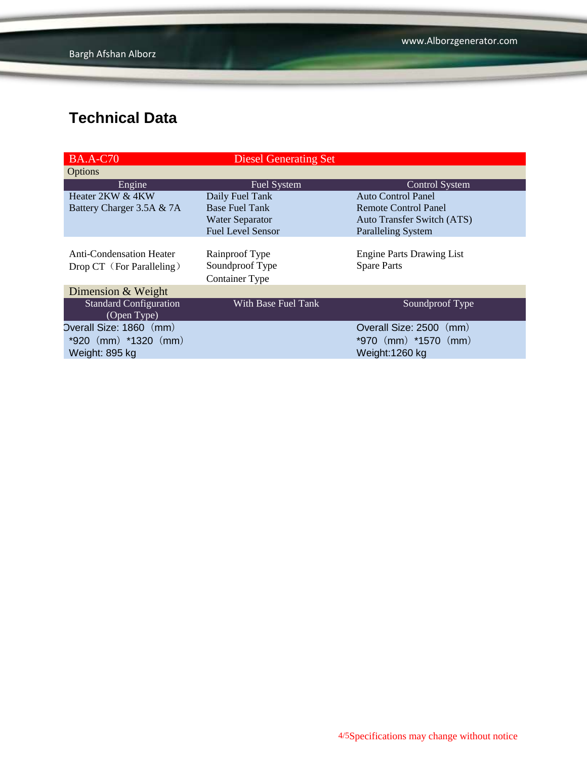| <b>BA.A-C70</b>                 | <b>Diesel Generating Set</b> |                                   |
|---------------------------------|------------------------------|-----------------------------------|
| Options                         |                              |                                   |
| Engine                          | <b>Fuel System</b>           | <b>Control System</b>             |
| Heater 2KW & 4KW                | Daily Fuel Tank              | <b>Auto Control Panel</b>         |
| Battery Charger 3.5A & 7A       | <b>Base Fuel Tank</b>        | <b>Remote Control Panel</b>       |
|                                 | <b>Water Separator</b>       | <b>Auto Transfer Switch (ATS)</b> |
|                                 | <b>Fuel Level Sensor</b>     | <b>Paralleling System</b>         |
|                                 |                              |                                   |
| <b>Anti-Condensation Heater</b> | Rainproof Type               | <b>Engine Parts Drawing List</b>  |
| Drop CT (For Paralleling)       | Soundproof Type              | <b>Spare Parts</b>                |
|                                 | <b>Container Type</b>        |                                   |
| Dimension & Weight              |                              |                                   |
| <b>Standard Configuration</b>   | With Base Fuel Tank          | Soundproof Type                   |
| (Open Type)                     |                              |                                   |
| Overall Size: 1860 (mm)         |                              | Overall Size: 2500 (mm)           |
| $*920$ (mm) $*1320$ (mm)        |                              | *970 $(mm)$ *1570 $(mm)$          |
| Weight: 895 kg                  |                              | Weight:1260 kg                    |